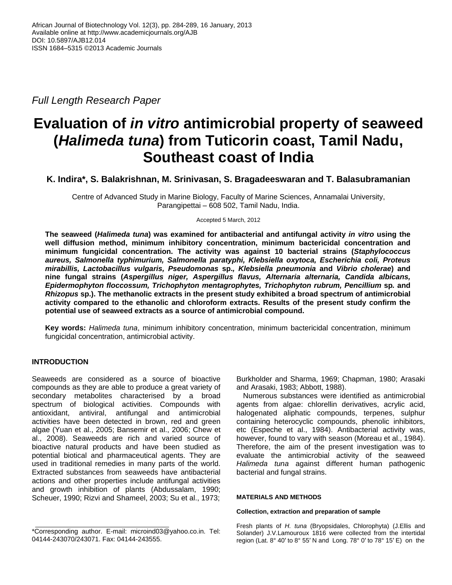*Full Length Research Paper*

# **Evaluation of** *in vitro* **antimicrobial property of seaweed (***Halimeda tuna***) from Tuticorin coast, Tamil Nadu, Southeast coast of India**

# **K. Indira\*, S. Balakrishnan, M. Srinivasan, S. Bragadeeswaran and T. Balasubramanian**

Centre of Advanced Study in Marine Biology, Faculty of Marine Sciences, Annamalai University, Parangipettai – 608 502, Tamil Nadu, India.

Accepted 5 March, 2012

**The seaweed (***Halimeda tuna***) was examined for antibacterial and antifungal activity** *in vitro* **using the well diffusion method, minimum inhibitory concentration, minimum bactericidal concentration and minimum fungicidal concentration. The activity was against 10 bacterial strains (***Staphylococcus aureus, Salmonella typhimurium, Salmonella paratyphi, Klebsiella oxytoca, Escherichia coli, Proteus mirabillis, Lactobacillus vulgaris, Pseudomonas* **sp.***, Klebsiella pneumonia* **and** *Vibrio cholerae***) and nine fungal strains (***Aspergillus niger, Aspergillus flavus, Alternaria alternaria, Candida albicans, Epidermophyton floccossum, Trichophyton mentagrophytes, Trichophyton rubrum, Pencillium* **sp***.* **and**  *Rhizopus* **sp.). The methanolic extracts in the present study exhibited a broad spectrum of antimicrobial activity compared to the ethanolic and chloroform extracts. Results of the present study confirm the potential use of seaweed extracts as a source of antimicrobial compound.**

**Key words:** *Halimeda tuna*, minimum inhibitory concentration, minimum bactericidal concentration, minimum fungicidal concentration, antimicrobial activity.

# **INTRODUCTION**

Seaweeds are considered as a source of bioactive compounds as they are able to produce a great variety of secondary metabolites characterised by a broad spectrum of biological activities. Compounds with antioxidant, antiviral, antifungal and antimicrobial activities have been detected in brown, red and green algae (Yuan et al., 2005; Bansemir et al., 2006; Chew et al., 2008). Seaweeds are rich and varied source of bioactive natural products and have been studied as potential biotical and pharmaceutical agents. They are used in traditional remedies in many parts of the world. Extracted substances from seaweeds have antibacterial actions and other properties include antifungal activities and growth inhibition of plants (Abdussalam, 1990; Scheuer, 1990; Rizvi and Shameel, 2003; Su et al., 1973;

Burkholder and Sharma, 1969; Chapman, 1980; Arasaki and Arasaki, 1983; Abbott, 1988).

Numerous substances were identified as antimicrobial agents from algae: chlorellin derivatives, acrylic acid, halogenated aliphatic compounds, terpenes, sulphur containing heterocyclic compounds, phenolic inhibitors, etc (Espeche et al., 1984). Antibacterial activity was, however, found to vary with season (Moreau et al., 1984). Therefore, the aim of the present investigation was to evaluate the antimicrobial activity of the seaweed *Halimeda tuna* against different human pathogenic bacterial and fungal strains.

## **MATERIALS AND METHODS**

## **Collection, extraction and preparation of sample**

Fresh plants of *H. tuna* (Bryopsidales, Chlorophyta) (J.Ellis and Solander) J.V.Lamouroux 1816 were collected from the intertidal region (Lat. 8° 40′ to 8° 55′ N and Long. 78° 0′ to 78° 15′ E) on the

<sup>\*</sup>Corresponding author. E-mail: microind03@yahoo.co.in. Tel: 04144-243070/243071. Fax: 04144-243555.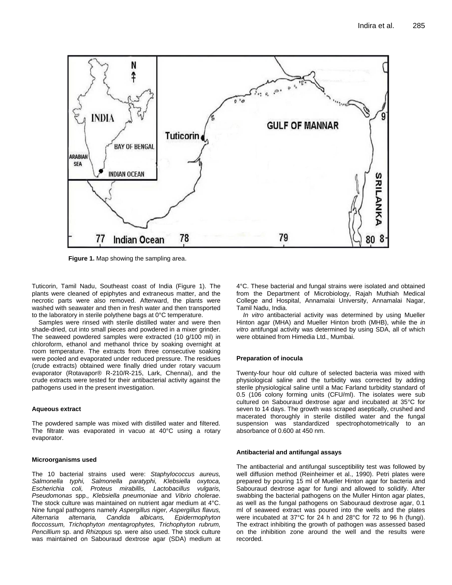

**Figure 1.** Map showing the sampling area.

Tuticorin, Tamil Nadu, Southeast coast of India (Figure 1). The plants were cleaned of epiphytes and extraneous matter, and the necrotic parts were also removed. Afterward, the plants were washed with seawater and then in fresh water and then transported to the laboratory in sterile polythene bags at 0°C temperature.

Samples were rinsed with sterile distilled water and were then shade-dried, cut into small pieces and powdered in a mixer grinder. The seaweed powdered samples were extracted (10 g/100 ml) in chloroform, ethanol and methanol thrice by soaking overnight at room temperature. The extracts from three consecutive soaking were pooled and evaporated under reduced pressure. The residues (crude extracts) obtained were finally dried under rotary vacuum evaporator (Rotavapor® R-210/R-215, Lark, Chennai), and the crude extracts were tested for their antibacterial activity against the pathogens used in the present investigation.

#### **Aqueous extract**

The powdered sample was mixed with distilled water and filtered. The filtrate was evaporated in vacuo at 40°C using a rotary evaporator.

#### **Microorganisms used**

The 10 bacterial strains used were: *Staphylococcus aureus, Salmonella typhi, Salmonella paratyphi, Klebsiella oxytoca, Escherichia coli, Proteus mirabillis, Lactobacillus vulgaris, Pseudomonas* spp.*, Klebsiella pneumoniae* and *Vibrio cholerae*. The stock culture was maintained on nutrient agar medium at 4°C. Nine fungal pathogens namely *Aspergillus niger, Aspergillus flavus, Alternaria alternaria, Candida albicans, Epidermophyton floccossum, Trichophyton mentagrophytes, Trichophyton rubrum, Pencillium* sp. and *Rhizopus* sp*.* were also used. The stock culture was maintained on Sabouraud dextrose agar (SDA) medium at

4°C. These bacterial and fungal strains were isolated and obtained from the Department of Microbiology, Rajah Muthiah Medical College and Hospital, Annamalai University, Annamalai Nagar, Tamil Nadu, India.

*In vitro* antibacterial activity was determined by using Mueller Hinton agar (MHA) and Mueller Hinton broth (MHB), while the *in vitro* antifungal activity was determined by using SDA, all of which were obtained from Himedia Ltd., Mumbai.

#### **Preparation of inocula**

Twenty-four hour old culture of selected bacteria was mixed with physiological saline and the turbidity was corrected by adding sterile physiological saline until a Mac Farland turbidity standard of 0.5 (106 colony forming units (CFU/ml). The isolates were sub cultured on Sabouraud dextrose agar and incubated at 35°C for seven to 14 days. The growth was scraped aseptically, crushed and macerated thoroughly in sterile distilled water and the fungal suspension was standardized spectrophotometrically to an absorbance of 0.600 at 450 nm.

#### **Antibacterial and antifungal assays**

The antibacterial and antifungal susceptibility test was followed by well diffusion method (Reinheimer et al., 1990). Petri plates were prepared by pouring 15 ml of Mueller Hinton agar for bacteria and Sabouraud dextrose agar for fungi and allowed to solidify. After swabbing the bacterial pathogens on the Muller Hinton agar plates, as well as the fungal pathogens on Sabouraud dextrose agar, 0.1 ml of seaweed extract was poured into the wells and the plates were incubated at 37°C for 24 h and 28°C for 72 to 96 h (fungi). The extract inhibiting the growth of pathogen was assessed based on the inhibition zone around the well and the results were recorded.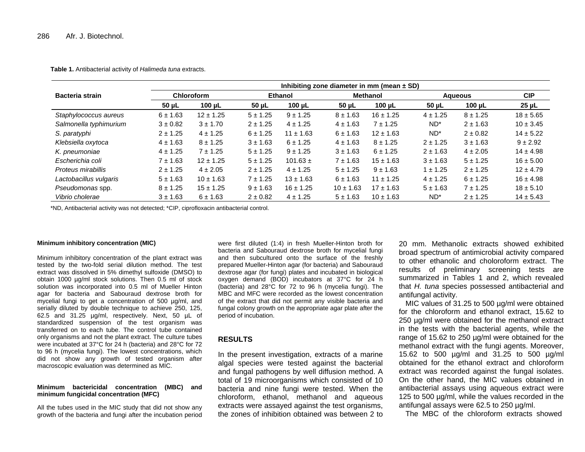**Table 1.** Antibacterial activity of *Halimeda tuna* extracts.

|                        | Inhibiting zone diameter in mm (mean $\pm$ SD) |               |              |               |                 |               |                 |              |               |  |
|------------------------|------------------------------------------------|---------------|--------------|---------------|-----------------|---------------|-----------------|--------------|---------------|--|
| <b>Bacteria strain</b> | Chloroform                                     |               | Ethanol      |               | <b>Methanol</b> |               | <b>Aqueous</b>  |              | <b>CIP</b>    |  |
|                        | 50 µL                                          | 100 $\mu$ L   | $50 \mu L$   | $100 \mu L$   | $50 \mu L$      | $100 \mu L$   | $50 \mu L$      | 100 $\mu$ L  | $25 \mu L$    |  |
| Staphylococcus aureus  | $6 \pm 1.63$                                   | $12 \pm 1.25$ | $5 \pm 1.25$ | $9 \pm 1.25$  | $8 \pm 1.63$    | $16 \pm 1.25$ | $4 \pm 1.25$    | $8 \pm 1.25$ | $18 + 5.65$   |  |
| Salmonella typhimurium | $3 \pm 0.82$                                   | $3 + 1.70$    | $2 \pm 1.25$ | $4 \pm 1.25$  | $4 \pm 1.63$    | $7 \pm 1.25$  | ND <sup>*</sup> | $2 \pm 1.63$ | $10 \pm 3.45$ |  |
| S. paratyphi           | $2 \pm 1.25$                                   | $4 \pm 1.25$  | $6 \pm 1.25$ | $11 \pm 1.63$ | $6 \pm 1.63$    | $12 \pm 1.63$ | ND <sup>*</sup> | $2 \pm 0.82$ | $14 \pm 5.22$ |  |
| Klebsiella oxytoca     | $4 \pm 1.63$                                   | $8 \pm 1.25$  | $3 \pm 1.63$ | $6 \pm 1.25$  | $4 \pm 1.63$    | $8 \pm 1.25$  | $2 \pm 1.25$    | $3 + 1.63$   | $9 + 2.92$    |  |
| K. pneumoniae          | $4 \pm 1.25$                                   | $7 \pm 1.25$  | $5 \pm 1.25$ | $9 \pm 1.25$  | $3 + 1.63$      | $6 \pm 1.25$  | $2 \pm 1.63$    | $4 \pm 2.05$ | $14 \pm 4.98$ |  |
| Escherichia coli       | $7 + 1.63$                                     | $12 \pm 1.25$ | $5 \pm 1.25$ | $101.63 \pm$  | $7 + 1.63$      | $15 \pm 1.63$ | $3 \pm 1.63$    | $5 \pm 1.25$ | $16 \pm 5.00$ |  |
| Proteus mirabillis     | $2 \pm 1.25$                                   | $4 \pm 2.05$  | $2 \pm 1.25$ | $4 \pm 1.25$  | $5 \pm 1.25$    | $9 \pm 1.63$  | $1 \pm 1.25$    | $2 \pm 1.25$ | $12 \pm 4.79$ |  |
| Lactobacillus vulgaris | $5 \pm 1.63$                                   | $10 \pm 1.63$ | $7 + 1.25$   | $13 \pm 1.63$ | $6 \pm 1.63$    | $11 \pm 1.25$ | $4 \pm 1.25$    | $6 \pm 1.25$ | $16 \pm 4.98$ |  |
| Pseudomonas spp.       | $8 \pm 1.25$                                   | $15 \pm 1.25$ | $9 + 1.63$   | $16 \pm 1.25$ | $10 \pm 1.63$   | $17 \pm 1.63$ | $5 \pm 1.63$    | $7 + 1.25$   | $18 \pm 5.10$ |  |
| Vibrio cholerae        | $3 + 1.63$                                     | $6 \pm 1.63$  | $2 \pm 0.82$ | $4 \pm 1.25$  | $5 \pm 1.63$    | $10 \pm 1.63$ | ND <sup>*</sup> | $2 \pm 1.25$ | $14 \pm 5.43$ |  |

\*ND, Antibacterial activity was not detected; \*CIP, ciprofloxacin antibacterial control.

#### **Minimum inhibitory concentration (MIC)**

Minimum inhibitory concentration of the plant extract was tested by the two-fold serial dilution method. The test extract was dissolved in 5% dimethyl sulfoxide (DMSO) to obtain 1000 µg/ml stock solutions. Then 0.5 ml of stock solution was incorporated into 0.5 ml of Mueller Hinton agar for bacteria and Sabouraud dextrose broth for mycelial fungi to get a concentration of 500 µg/ml, and serially diluted by double technique to achieve 250, 125, 62.5 and 31.25 µg/ml, respectively. Next, 50 µL of standardized suspension of the test organism was transferred on to each tube. The control tube contained only organisms and not the plant extract. The culture tubes were incubated at 37°C for 24 h (bacteria) and 28°C for 72 to 96 h (mycelia fungi). The lowest concentrations, which did not show any growth of tested organism after macroscopic evaluation was determined as MIC.

### **Minimum bactericidal concentration (MBC) and minimum fungicidal concentration (MFC)**

All the tubes used in the MIC study that did not show any growth of the bacteria and fungi after the incubation period were first diluted (1:4) in fresh Mueller-Hinton broth for bacteria and Sabouraud dextrose broth for mycelial fungi and then subcultured onto the surface of the freshly prepared Mueller-Hinton agar (for bacteria) and Sabouraud dextrose agar (for fungi) plates and incubated in biological oxygen demand (BOD) incubators at 37°C for 24 h (bacteria) and 28°C for 72 to 96 h (mycelia fungi). The MBC and MFC were recorded as the lowest concentration of the extract that did not permit any visible bacteria and fungal colony growth on the appropriate agar plate after the period of incubation.

# **RESULTS**

In the present investigation, extracts of a marine algal species were tested against the bacterial and fungal pathogens by well diffusion method. A total of 19 microorganisms which consisted of 10 bacteria and nine fungi were tested. When the chloroform, ethanol, methanol and aqueous extracts were assayed against the test organisms, the zones of inhibition obtained was between 2 to 20 mm. Methanolic extracts showed exhibited broad spectrum of antimicrobial activity compared to other ethanolic and choloroform extract. The results of preliminary screening tests are summarized in Tables 1 and 2, which revealed that *H. tuna* species possessed antibacterial and antifungal activity.

MIC values of 31.25 to 500 µg/ml were obtained for the chloroform and ethanol extract, 15.62 to 250 µg/ml were obtained for the methanol extract in the tests with the bacterial agents, while the range of 15.62 to 250 µg/ml were obtained for the methanol extract with the fungi agents. Moreover, 15.62 to 500 µg/ml and 31.25 to 500 µg/ml obtained for the ethanol extract and chloroform extract was recorded against the fungal isolates. On the other hand, the MIC values obtained in antibacterial assays using aqueous extract were 125 to 500 µg/ml, while the values recorded in the antifungal assays were 62.5 to 250 µg/ml.

The MBC of the chloroform extracts showed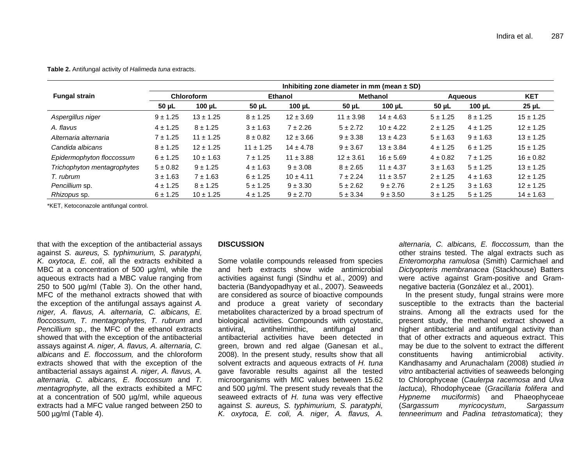#### **Table 2.** Antifungal activity of *Halimeda tuna* extracts.

|                             | Inhibiting zone diameter in mm (mean $\pm$ SD) |               |                |               |                 |               |              |              |               |  |
|-----------------------------|------------------------------------------------|---------------|----------------|---------------|-----------------|---------------|--------------|--------------|---------------|--|
| <b>Fungal strain</b>        | <b>Chloroform</b>                              |               | <b>Ethanol</b> |               | <b>Methanol</b> |               | Aqueous      |              | <b>KET</b>    |  |
|                             | $50 \mu L$                                     | 100 $\mu$ L   | $50 \mu L$     | 100 $\mu$ L   | $50 \mu L$      | 100 $\mu$ L   | $50 \mu L$   | 100 $\mu$ L  | $25 \mu L$    |  |
| Aspergillus niger           | $9 \pm 1.25$                                   | $13 \pm 1.25$ | $8 \pm 1.25$   | $12 \pm 3.69$ | $11 \pm 3.98$   | $14 \pm 4.63$ | $5 \pm 1.25$ | $8 \pm 1.25$ | $15 \pm 1.25$ |  |
| A. flavus                   | $4 \pm 1.25$                                   | $8 \pm 1.25$  | $3 \pm 1.63$   | $7 + 2.26$    | $5 + 2.72$      | $10 \pm 4.22$ | $2 \pm 1.25$ | $4 \pm 1.25$ | $12 \pm 1.25$ |  |
| Alternaria alternaria       | $7 + 1.25$                                     | $11 \pm 1.25$ | $8 \pm 0.82$   | $12 \pm 3.66$ | $9 + 3.38$      | $13 \pm 4.23$ | $5 \pm 1.63$ | $9 \pm 1.63$ | $13 \pm 1.25$ |  |
| Candida albicans            | $8 \pm 1.25$                                   | $12 \pm 1.25$ | $11 \pm 1.25$  | $14 \pm 4.78$ | $9 + 3.67$      | $13 \pm 3.84$ | $4 \pm 1.25$ | $6 \pm 1.25$ | $15 \pm 1.25$ |  |
| Epidermophyton floccossum   | $6 \pm 1.25$                                   | $10 \pm 1.63$ | $7 + 1.25$     | $11 \pm 3.88$ | $12 \pm 3.61$   | $16 \pm 5.69$ | $4 \pm 0.82$ | $7 + 1.25$   | $16 \pm 0.82$ |  |
| Trichophyton mentagrophytes | $5 \pm 0.82$                                   | $9 + 1.25$    | $4 \pm 1.63$   | $9 \pm 3.08$  | $8 + 2.65$      | $11 \pm 4.37$ | $3 + 1.63$   | $5 \pm 1.25$ | $13 \pm 1.25$ |  |
| T. rubrum                   | $3 \pm 1.63$                                   | $7 + 1.63$    | $6 \pm 1.25$   | $10 \pm 4.11$ | $7 + 2.24$      | $11 \pm 3.57$ | $2 \pm 1.25$ | $4 \pm 1.63$ | $12 \pm 1.25$ |  |
| Pencillium sp.              | $4 \pm 1.25$                                   | $8 \pm 1.25$  | $5 \pm 1.25$   | $9 \pm 3.30$  | $5 \pm 2.62$    | $9 + 2.76$    | $2 \pm 1.25$ | $3 + 1.63$   | $12 \pm 1.25$ |  |
| Rhizopus sp.                | $6 \pm 1.25$                                   | $10 \pm 1.25$ | $4 \pm 1.25$   | $9 + 2.70$    | $5 \pm 3.34$    | $9 \pm 3.50$  | $3 \pm 1.25$ | $5 \pm 1.25$ | $14 \pm 1.63$ |  |

\*KET, Ketoconazole antifungal control.

that with the exception of the antibacterial assays against *S. aureus, S. typhimurium, S. paratyphi, K. oxytoca, E. coli*, all the extracts exhibited a MBC at a concentration of 500 µg/ml, while the aqueous extracts had a MBC value ranging from 250 to 500 µg/ml (Table 3). On the other hand, MFC of the methanol extracts showed that with the exception of the antifungal assays against *A. niger, A. flavus, A. alternaria, C. albicans, E. floccossum, T. mentagrophytes, T. rubrum* and *Pencillium* sp., the MFC of the ethanol extracts showed that with the exception of the antibacterial assays against *A. niger, A. flavus, A. alternaria, C. albicans* and *E. floccossum,* and the chloroform extracts showed that with the exception of the antibacterial assays against *A. niger, A. flavus, A. alternaria, C. albicans, E. floccossum* and *T. mentagrophyte*, all the extracts exhibited a MFC at a concentration of 500 µg/ml, while aqueous extracts had a MFC value ranged between 250 to 500 µg/ml (Table 4).

## **DISCUSSION**

Some volatile compounds released from species and herb extracts show wide antimicrobial activities against fungi (Sindhu et al., 2009) and bacteria (Bandyopadhyay et al., 2007). Seaweeds are considered as source of bioactive compounds and produce a great variety of secondary metabolites characterized by a broad spectrum of biological activities. Compounds with cytostatic, antiviral, antihelminthic, antifungal and antibacterial activities have been detected in green, brown and red algae (Ganesan et al., 2008). In the present study, results show that all solvent extracts and aqueous extracts of *H. tuna*  gave favorable results against all the tested microorganisms with MIC values between 15.62 and 500 µg/ml. The present study reveals that the seaweed extracts of *H. tuna* was very effective against *S. aureus, S. typhimurium, S. paratyphi, K. oxytoca, E. coli, A. niger, A. flavus, A.* 

*alternaria, C. albicans, E. floccossum,* than the other strains tested. The algal extracts such as *Enteromorpha ramulosa* (Smith) Carmichael and *Dictyopteris membranacea* (Stackhouse) Batters were active against Gram-positive and Gramnegative bacteria (González et al., 2001).

In the present study, fungal strains were more susceptible to the extracts than the bacterial strains. Among all the extracts used for the present study, the methanol extract showed a higher antibacterial and antifungal activity than that of other extracts and aqueous extract. This may be due to the solvent to extract the different constituents having antimicrobial activity. Kandhasamy and Arunachalam (2008) studied *in vitro* antibacterial activities of seaweeds belonging to Chlorophyceae (*Caulerpa racemosa* and *Ulva lactuca*), Rhodophyceae (*Gracillaria folifera* and *Hypneme muciformis*) and Phaeophyceae (*Sargassum myricocystum*, *Sargassum tenneerimum* and *Padina tetrastomatica*); they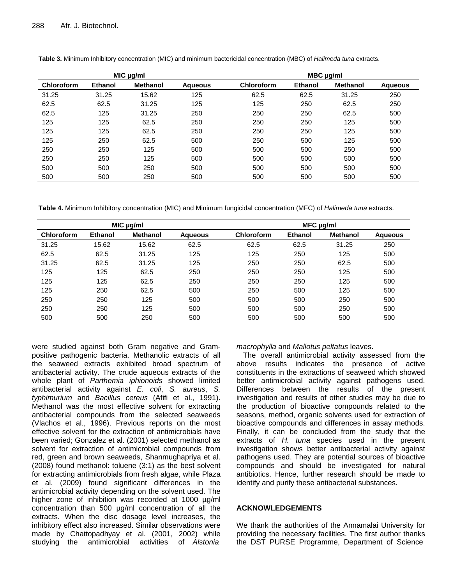|            |                | MIC µg/ml       |         | MBC µg/ml         |         |                 |                |  |  |
|------------|----------------|-----------------|---------|-------------------|---------|-----------------|----------------|--|--|
| Chloroform | <b>Ethanol</b> | <b>Methanol</b> | Aqueous | <b>Chloroform</b> | Ethanol | <b>Methanol</b> | <b>Aqueous</b> |  |  |
| 31.25      | 31.25          | 15.62           | 125     | 62.5              | 62.5    | 31.25           | 250            |  |  |
| 62.5       | 62.5           | 31.25           | 125     | 125               | 250     | 62.5            | 250            |  |  |
| 62.5       | 125            | 31.25           | 250     | 250               | 250     | 62.5            | 500            |  |  |
| 125        | 125            | 62.5            | 250     | 250               | 250     | 125             | 500            |  |  |
| 125        | 125            | 62.5            | 250     | 250               | 250     | 125             | 500            |  |  |
| 125        | 250            | 62.5            | 500     | 250               | 500     | 125             | 500            |  |  |
| 250        | 250            | 125             | 500     | 500               | 500     | 250             | 500            |  |  |
| 250        | 250            | 125             | 500     | 500               | 500     | 500             | 500            |  |  |
| 500        | 500            | 250             | 500     | 500               | 500     | 500             | 500            |  |  |
| 500        | 500            | 250             | 500     | 500               | 500     | 500             | 500            |  |  |

**Table 3.** Minimum Inhibitory concentration (MIC) and minimum bactericidal concentration (MBC) of *Halimeda tuna* extracts.

**Table 4.** Minimum Inhibitory concentration (MIC) and Minimum fungicidal concentration (MFC) of *Halimeda tuna* extracts.

|                   |                | MIC µg/ml       |                | $MFC$ µg/ml       |                |                 |         |  |
|-------------------|----------------|-----------------|----------------|-------------------|----------------|-----------------|---------|--|
| <b>Chloroform</b> | <b>Ethanol</b> | <b>Methanol</b> | <b>Agueous</b> | <b>Chloroform</b> | <b>Ethanol</b> | <b>Methanol</b> | Aqueous |  |
| 31.25             | 15.62          | 15.62           | 62.5           | 62.5              | 62.5           | 31.25           | 250     |  |
| 62.5              | 62.5           | 31.25           | 125            | 125               | 250            | 125             | 500     |  |
| 31.25             | 62.5           | 31.25           | 125            | 250               | 250            | 62.5            | 500     |  |
| 125               | 125            | 62.5            | 250            | 250               | 250            | 125             | 500     |  |
| 125               | 125            | 62.5            | 250            | 250               | 250            | 125             | 500     |  |
| 125               | 250            | 62.5            | 500            | 250               | 500            | 125             | 500     |  |
| 250               | 250            | 125             | 500            | 500               | 500            | 250             | 500     |  |
| 250               | 250            | 125             | 500            | 500               | 500            | 250             | 500     |  |
| 500               | 500            | 250             | 500            | 500               | 500            | 500             | 500     |  |

were studied against both Gram negative and Grampositive pathogenic bacteria. Methanolic extracts of all the seaweed extracts exhibited broad spectrum of antibacterial activity. The crude aqueous extracts of the whole plant of *Parthemia iphionoids* showed limited antibacterial activity against *E. coli*, *S. aureus*, *S. typhimurium* and *Bacillus cereus* (Afifi et al., 1991). Methanol was the most effective solvent for extracting antibacterial compounds from the selected seaweeds (Vlachos et al., 1996). Previous reports on the most effective solvent for the extraction of antimicrobials have been varied; Gonzalez et al. (2001) selected methanol as solvent for extraction of antimicrobial compounds from red, green and brown seaweeds, Shanmughapriya et al. (2008) found methanol: toluene (3:1) as the best solvent for extracting antimicrobials from fresh algae, while Plaza et al. (2009) found significant differences in the antimicrobial activity depending on the solvent used. The higher zone of inhibition was recorded at 1000 µg/ml concentration than 500 µg/ml concentration of all the extracts. When the disc dosage level increases, the inhibitory effect also increased. Similar observations were made by Chattopadhyay et al. (2001, 2002) while studying the antimicrobial activities of *Alstonia* 

*macrophylla* and *Mallotus peltatus* leaves.

The overall antimicrobial activity assessed from the above results indicates the presence of active constituents in the extractions of seaweed which showed better antimicrobial activity against pathogens used. Differences between the results of the present investigation and results of other studies may be due to the production of bioactive compounds related to the seasons, method, organic solvents used for extraction of bioactive compounds and differences in assay methods. Finally, it can be concluded from the study that the extracts of *H. tuna* species used in the present investigation shows better antibacterial activity against pathogens used. They are potential sources of bioactive compounds and should be investigated for natural antibiotics. Hence, further research should be made to identify and purify these antibacterial substances.

# **ACKNOWLEDGEMENTS**

We thank the authorities of the Annamalai University for providing the necessary facilities. The first author thanks the DST PURSE Programme, Department of Science